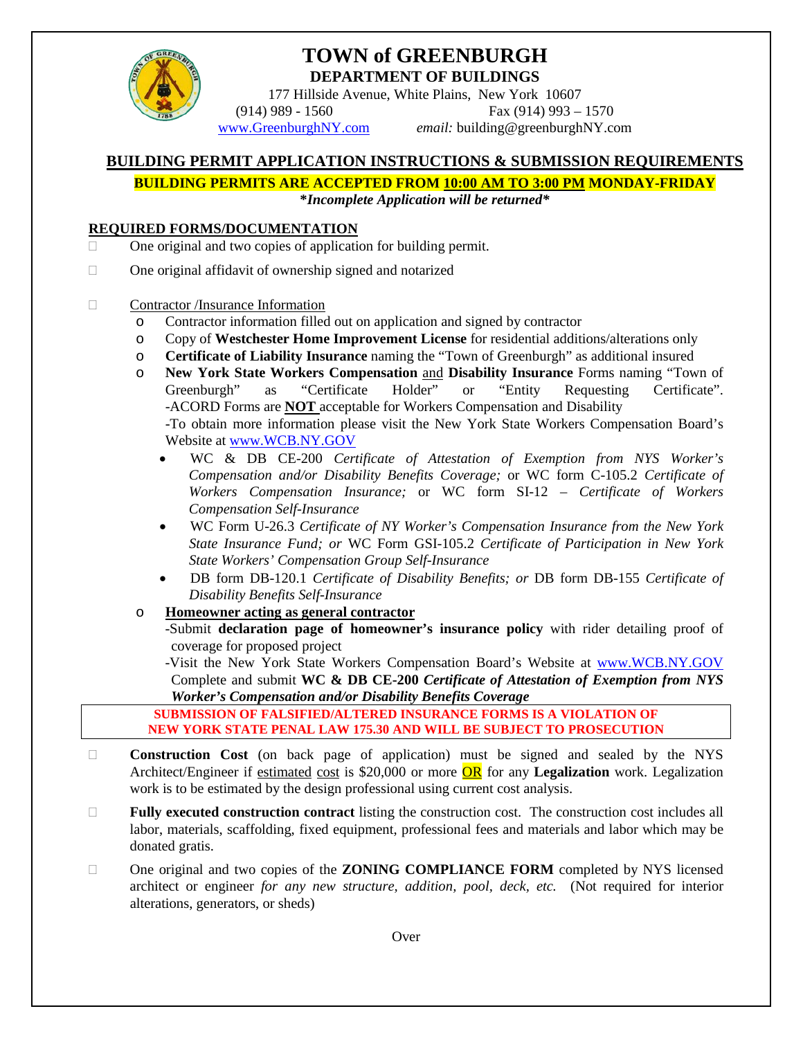

# **TOWN of GREENBURGH DEPARTMENT OF BUILDINGS**

177 Hillside Avenue, White Plains, New York 10607  $(914)$  989 - 1560 Fax (914) 993 - 1570 [www.GreenburghNY.com](http://www.greenburghny.com/) *email:* building@greenburghNY.com

#### **BUILDING PERMIT APPLICATION INSTRUCTIONS & SUBMISSION REQUIREMENTS**

**BUILDING PERMITS ARE ACCEPTED FROM 10:00 AM TO 3:00 PM MONDAY-FRIDAY \****Incomplete Application will be returned\**

#### **REQUIRED FORMS/DOCUMENTATION**

- One original and two copies of application for building permit.
- $\Box$  One original affidavit of ownership signed and notarized
- □ Contractor /Insurance Information
	- o Contractor information filled out on application and signed by contractor
	- o Copy of **Westchester Home Improvement License** for residential additions/alterations only
	- o **Certificate of Liability Insurance** naming the "Town of Greenburgh" as additional insured
	- o **New York State Workers Compensation** and **Disability Insurance** Forms naming "Town of Greenburgh" -ACORD Forms are **NOT** acceptable for Workers Compensation and Disability -To obtain more information please visit the New York State Workers Compensation Board's Website at [www.WCB.NY.GOV](http://www.wcb.ny.gov/)
		- WC & DB CE-200 *Certificate of Attestation of Exemption from NYS Worker's Compensation and/or Disability Benefits Coverage;* or WC form C-105.2 *Certificate of Workers Compensation Insurance;* or WC form SI-12 – *Certificate of Workers Compensation Self-Insurance*
		- WC Form U-26.3 *Certificate of NY Worker's Compensation Insurance from the New York State Insurance Fund; or* WC Form GSI-105.2 *Certificate of Participation in New York State Workers' Compensation Group Self-Insurance*
		- DB form DB-120.1 *Certificate of Disability Benefits; or* DB form DB-155 *Certificate of Disability Benefits Self-Insurance*
	- o **Homeowner acting as general contractor**

-Submit **declaration page of homeowner's insurance policy** with rider detailing proof of coverage for proposed project

-Visit the New York State Workers Compensation Board's Website at [www.WCB.NY.GOV](http://www.wcb.ny.gov/) Complete and submit **WC & DB CE-200** *Certificate of Attestation of Exemption from NYS Worker's Compensation and/or Disability Benefits Coverage*

**SUBMISSION OF FALSIFIED/ALTERED INSURANCE FORMS IS A VIOLATION OF NEW YORK STATE PENAL LAW 175.30 AND WILL BE SUBJECT TO PROSECUTION**

- **Construction Cost** (on back page of application) must be signed and sealed by the NYS Architect/Engineer if estimated cost is \$20,000 or more OR for any **Legalization** work. Legalization work is to be estimated by the design professional using current cost analysis.
- **Fully executed construction contract** listing the construction cost. The construction cost includes all labor, materials, scaffolding, fixed equipment, professional fees and materials and labor which may be donated gratis.
- One original and two copies of the **ZONING COMPLIANCE FORM** completed by NYS licensed architect or engineer *for any new structure, addition, pool, deck, etc.* (Not required for interior alterations, generators, or sheds)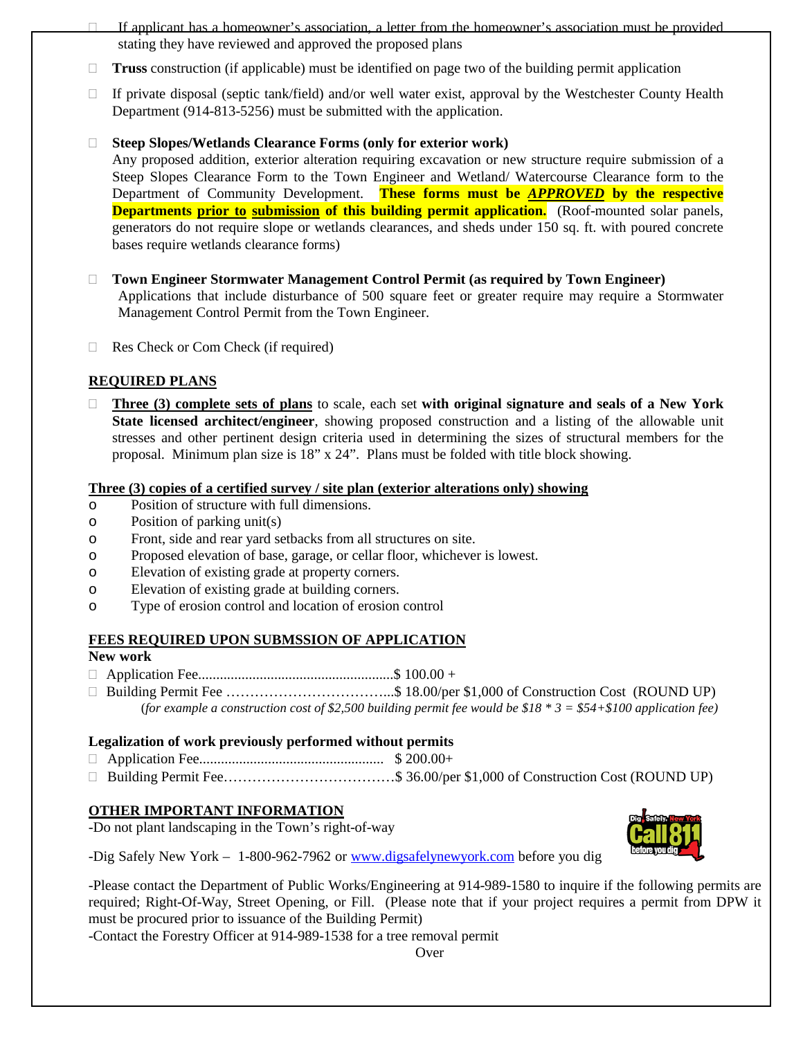- If applicant has a homeowner's association, a letter from the homeowner's association must be provided stating they have reviewed and approved the proposed plans
- **Truss** construction (if applicable) must be identified on page two of the building permit application
- $\Box$  If private disposal (septic tank/field) and/or well water exist, approval by the Westchester County Health Department (914-813-5256) must be submitted with the application.

## **Steep Slopes/Wetlands Clearance Forms (only for exterior work)**

Any proposed addition, exterior alteration requiring excavation or new structure require submission of a Steep Slopes Clearance Form to the Town Engineer and Wetland/ Watercourse Clearance form to the Department of Community Development. **These forms must be** *APPROVED* **by the respective Departments prior to submission of this building permit application.** (Roof-mounted solar panels, generators do not require slope or wetlands clearances, and sheds under 150 sq. ft. with poured concrete bases require wetlands clearance forms)

- **Town Engineer Stormwater Management Control Permit (as required by Town Engineer)** Applications that include disturbance of 500 square feet or greater require may require a Stormwater Management Control Permit from the Town Engineer.
- $\Box$  Res Check or Com Check (if required)

#### **REQUIRED PLANS**

 **Three (3) complete sets of plans** to scale, each set **with original signature and seals of a New York State licensed architect/engineer**, showing proposed construction and a listing of the allowable unit stresses and other pertinent design criteria used in determining the sizes of structural members for the proposal. Minimum plan size is 18" x 24". Plans must be folded with title block showing.

#### **Three (3) copies of a certified survey / site plan (exterior alterations only) showing**

- o Position of structure with full dimensions.
- o Position of parking unit(s)
- o Front, side and rear yard setbacks from all structures on site.
- o Proposed elevation of base, garage, or cellar floor, whichever is lowest.
- o Elevation of existing grade at property corners.
- o Elevation of existing grade at building corners.
- o Type of erosion control and location of erosion control

#### **FEES REQUIRED UPON SUBMSSION OF APPLICATION**

#### **New work**

- Application Fee......................................................\$ 100.00 +
- Building Permit Fee ……………………………...\$ 18.00/per \$1,000 of Construction Cost (ROUND UP) (*for example a construction cost of \$2,500 building permit fee would be \$18 \* 3 = \$54+\$100 application fee)*

#### **Legalization of work previously performed without permits**

- Application Fee................................................... \$ 200.00+
- □ Building Permit Fee................................\$ 36.00/per \$1,000 of Construction Cost (ROUND UP)

## **OTHER IMPORTANT INFORMATION**

-Do not plant landscaping in the Town's right-of-way



-Dig Safely New York – 1-800-962-7962 or [www.digsafelynewyork.com](http://www.digsafelynewyork.com/) before you dig

-Please contact the Department of Public Works/Engineering at 914-989-1580 to inquire if the following permits are required; Right-Of-Way, Street Opening, or Fill. (Please note that if your project requires a permit from DPW it must be procured prior to issuance of the Building Permit)

-Contact the Forestry Officer at 914-989-1538 for a tree removal permit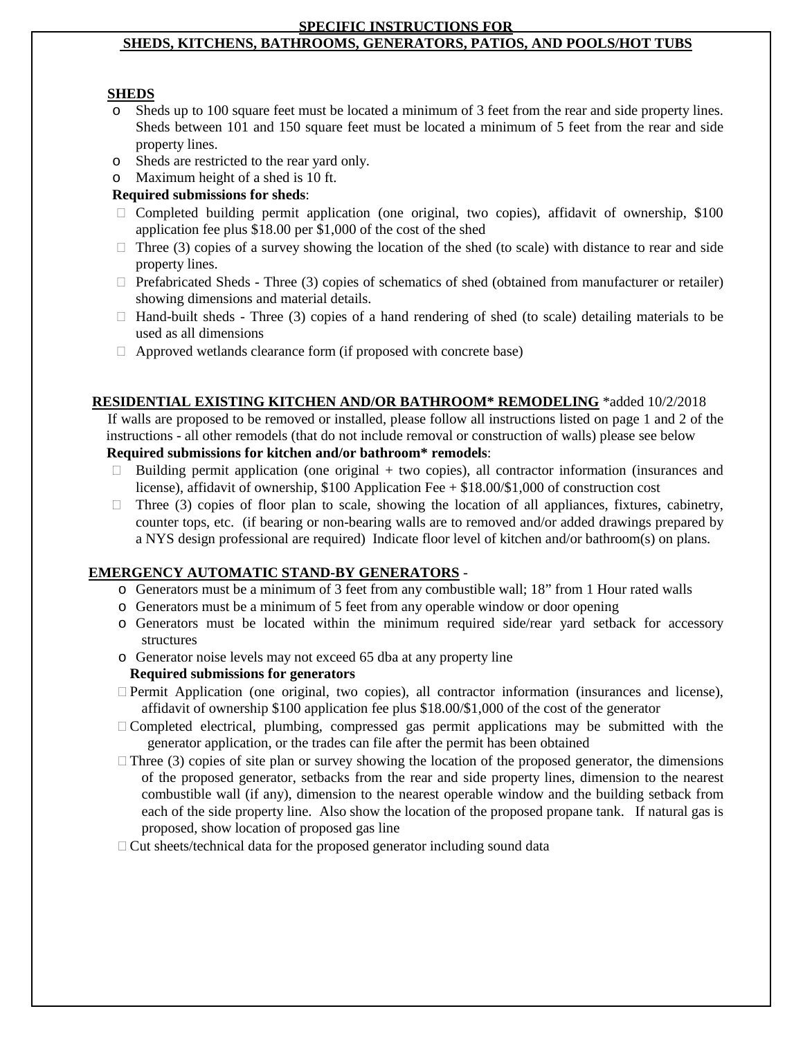#### **SPECIFIC INSTRUCTIONS FOR**

## **SHEDS, KITCHENS, BATHROOMS, GENERATORS, PATIOS, AND POOLS/HOT TUBS**

#### **SHEDS**

- o Sheds up to 100 square feet must be located a minimum of 3 feet from the rear and side property lines. Sheds between 101 and 150 square feet must be located a minimum of 5 feet from the rear and side property lines.
- o Sheds are restricted to the rear yard only.
- o Maximum height of a shed is 10 ft.

#### **Required submissions for sheds**:

- $\Box$  Completed building permit application (one original, two copies), affidavit of ownership, \$100 application fee plus \$18.00 per \$1,000 of the cost of the shed
- $\Box$  Three (3) copies of a survey showing the location of the shed (to scale) with distance to rear and side property lines.
- $\Box$  Prefabricated Sheds Three (3) copies of schematics of shed (obtained from manufacturer or retailer) showing dimensions and material details.
- $\Box$  Hand-built sheds Three (3) copies of a hand rendering of shed (to scale) detailing materials to be used as all dimensions
- $\Box$  Approved wetlands clearance form (if proposed with concrete base)

#### **RESIDENTIAL EXISTING KITCHEN AND/OR BATHROOM\* REMODELING** \*added 10/2/2018

If walls are proposed to be removed or installed, please follow all instructions listed on page 1 and 2 of the instructions - all other remodels (that do not include removal or construction of walls) please see below  **Required submissions for kitchen and/or bathroom\* remodels**:

- $\Box$  Building permit application (one original  $+$  two copies), all contractor information (insurances and license), affidavit of ownership, \$100 Application Fee + \$18.00/\$1,000 of construction cost
- $\Box$  Three (3) copies of floor plan to scale, showing the location of all appliances, fixtures, cabinetry, counter tops, etc. (if bearing or non-bearing walls are to removed and/or added drawings prepared by a NYS design professional are required) Indicate floor level of kitchen and/or bathroom(s) on plans.

#### **EMERGENCY AUTOMATIC STAND-BY GENERATORS** -

- o Generators must be a minimum of 3 feet from any combustible wall; 18" from 1 Hour rated walls
- o Generators must be a minimum of 5 feet from any operable window or door opening
- o Generators must be located within the minimum required side/rear yard setback for accessory structures
- o Generator noise levels may not exceed 65 dba at any property line

#### **Required submissions for generators**

- $\Box$  Permit Application (one original, two copies), all contractor information (insurances and license), affidavit of ownership \$100 application fee plus \$18.00/\$1,000 of the cost of the generator
- $\Box$  Completed electrical, plumbing, compressed gas permit applications may be submitted with the generator application, or the trades can file after the permit has been obtained
- $\Box$  Three (3) copies of site plan or survey showing the location of the proposed generator, the dimensions of the proposed generator, setbacks from the rear and side property lines, dimension to the nearest combustible wall (if any), dimension to the nearest operable window and the building setback from each of the side property line. Also show the location of the proposed propane tank. If natural gas is proposed, show location of proposed gas line

 $\Box$  Cut sheets/technical data for the proposed generator including sound data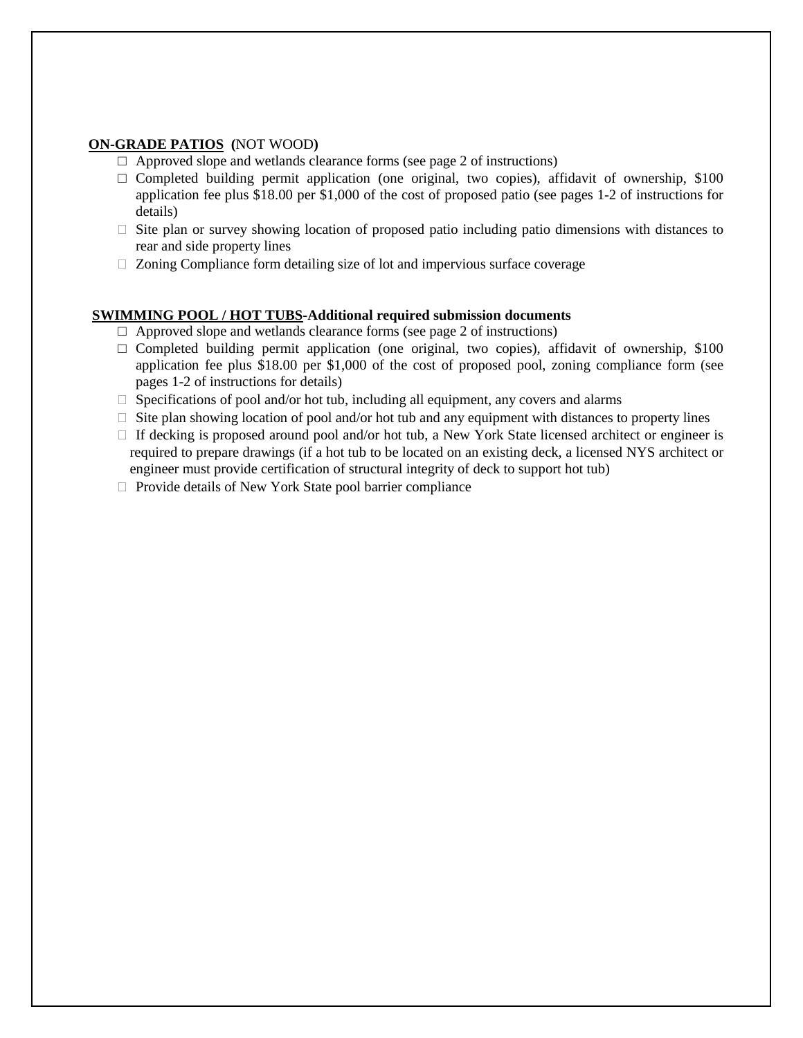#### **ON-GRADE PATIOS (**NOT WOOD**)**

- $\Box$  Approved slope and wetlands clearance forms (see page 2 of instructions)
- $\square$  Completed building permit application (one original, two copies), affidavit of ownership, \$100 application fee plus \$18.00 per \$1,000 of the cost of proposed patio (see pages 1-2 of instructions for details)
- $\Box$  Site plan or survey showing location of proposed patio including patio dimensions with distances to rear and side property lines
- □ Zoning Compliance form detailing size of lot and impervious surface coverage

#### **SWIMMING POOL / HOT TUBS-Additional required submission documents**

- $\Box$  Approved slope and wetlands clearance forms (see page 2 of instructions)
- $\Box$  Completed building permit application (one original, two copies), affidavit of ownership, \$100 application fee plus \$18.00 per \$1,000 of the cost of proposed pool, zoning compliance form (see pages 1-2 of instructions for details)
- $\Box$  Specifications of pool and/or hot tub, including all equipment, any covers and alarms
- $\Box$  Site plan showing location of pool and/or hot tub and any equipment with distances to property lines
- $\Box$  If decking is proposed around pool and/or hot tub, a New York State licensed architect or engineer is required to prepare drawings (if a hot tub to be located on an existing deck, a licensed NYS architect or engineer must provide certification of structural integrity of deck to support hot tub)
- $\Box$  Provide details of New York State pool barrier compliance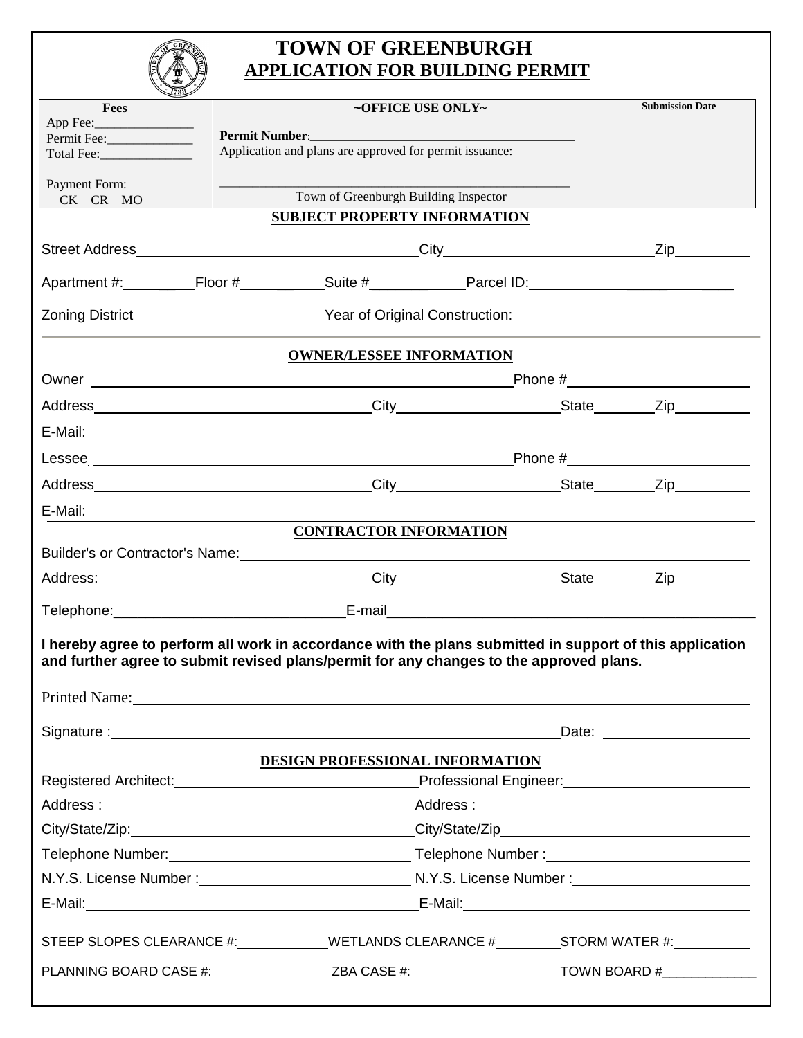|               | <b>TOWN OF GREENBURGH</b><br><b>APPLICATION FOR BUILDING PERMIT</b>                                                                                                                                                            |  |                        |  |  |
|---------------|--------------------------------------------------------------------------------------------------------------------------------------------------------------------------------------------------------------------------------|--|------------------------|--|--|
| Fees          | ~OFFICE USE ONLY~                                                                                                                                                                                                              |  | <b>Submission Date</b> |  |  |
| Permit Fee:   | Permit Number:                                                                                                                                                                                                                 |  |                        |  |  |
| Total Fee:    | Application and plans are approved for permit issuance:                                                                                                                                                                        |  |                        |  |  |
| Payment Form: | Town of Greenburgh Building Inspector                                                                                                                                                                                          |  |                        |  |  |
| CK CR MO      | <b>SUBJECT PROPERTY INFORMATION</b>                                                                                                                                                                                            |  |                        |  |  |
|               |                                                                                                                                                                                                                                |  |                        |  |  |
|               | Apartment #: ___________Floor #____________Suite #_____________Parcel ID: __________________________                                                                                                                           |  |                        |  |  |
|               | Zoning District ___________________________Year of Original Construction: ___________________________________                                                                                                                  |  |                        |  |  |
|               | <b>OWNER/LESSEE INFORMATION</b>                                                                                                                                                                                                |  |                        |  |  |
|               |                                                                                                                                                                                                                                |  |                        |  |  |
|               |                                                                                                                                                                                                                                |  |                        |  |  |
|               |                                                                                                                                                                                                                                |  |                        |  |  |
|               |                                                                                                                                                                                                                                |  |                        |  |  |
|               |                                                                                                                                                                                                                                |  |                        |  |  |
|               |                                                                                                                                                                                                                                |  |                        |  |  |
|               | <b>CONTRACTOR INFORMATION</b>                                                                                                                                                                                                  |  |                        |  |  |
|               | Builder's or Contractor's Name:<br><u> and the contractor's Name:</u>                                                                                                                                                          |  |                        |  |  |
|               |                                                                                                                                                                                                                                |  |                        |  |  |
|               |                                                                                                                                                                                                                                |  |                        |  |  |
|               | I hereby agree to perform all work in accordance with the plans submitted in support of this application<br>and further agree to submit revised plans/permit for any changes to the approved plans.                            |  |                        |  |  |
|               | Printed Name: Name: New York: New York: New York: New York: New York: New York: New York: New York: New York: New York: New York: New York: New York: New York: New York: New York: New York: New York: New York: New York: Ne |  |                        |  |  |
|               |                                                                                                                                                                                                                                |  |                        |  |  |
|               | DESIGN PROFESSIONAL INFORMATION<br>Registered Architect: Network and Architect: Network and Architect: Network and Architect: Network and Architect                                                                            |  |                        |  |  |
|               |                                                                                                                                                                                                                                |  |                        |  |  |
|               |                                                                                                                                                                                                                                |  |                        |  |  |
|               |                                                                                                                                                                                                                                |  |                        |  |  |
|               | N.Y.S. License Number: National M.Y.S. License Number: N.Y.S. License Number:                                                                                                                                                  |  |                        |  |  |
|               | E-Mail: 2008. [2018] [2019] E-Mail: 2019 [2019] E-Mail: 2019 [2019] E-Mail: 2019 [2019] [2019] [2019] [2019] [                                                                                                                 |  |                        |  |  |
|               | STEEP SLOPES CLEARANCE #: ___________WETLANDS CLEARANCE #_________STORM WATER #: __________                                                                                                                                    |  |                        |  |  |
|               |                                                                                                                                                                                                                                |  |                        |  |  |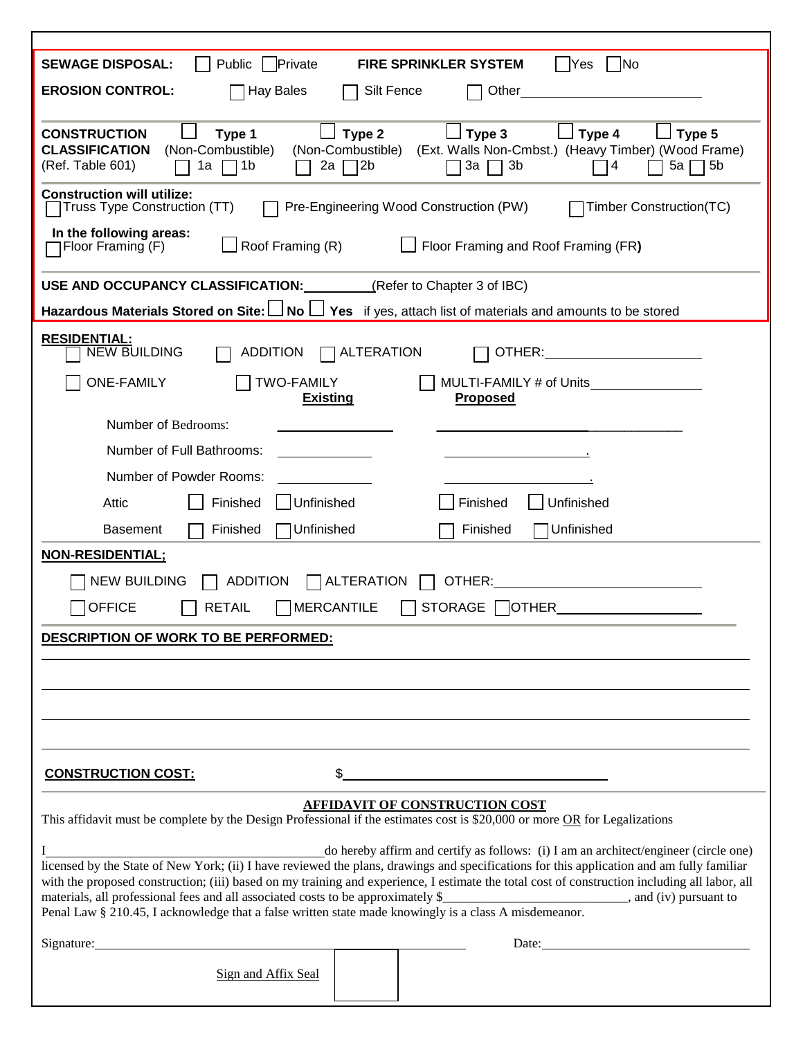| Private<br><b>SEWAGE DISPOSAL:</b><br>Public<br> Yes<br> No<br><b>FIRE SPRINKLER SYSTEM</b>                                                                                                                                                                                                                                                                                                                                                                                                                                                                                                                                        |  |  |  |  |
|------------------------------------------------------------------------------------------------------------------------------------------------------------------------------------------------------------------------------------------------------------------------------------------------------------------------------------------------------------------------------------------------------------------------------------------------------------------------------------------------------------------------------------------------------------------------------------------------------------------------------------|--|--|--|--|
| <b>Hay Bales</b><br><b>EROSION CONTROL:</b><br>Silt Fence<br>Other                                                                                                                                                                                                                                                                                                                                                                                                                                                                                                                                                                 |  |  |  |  |
|                                                                                                                                                                                                                                                                                                                                                                                                                                                                                                                                                                                                                                    |  |  |  |  |
| Type 1<br>Type 2<br>Type 3<br>J Type 4<br><b>CONSTRUCTION</b><br>Type 5<br><b>CLASSIFICATION</b><br>(Non-Combustible)<br>(Non-Combustible)<br>(Ext. Walls Non-Cmbst.) (Heavy Timber) (Wood Frame)<br>(Ref. Table 601)<br>1a<br>1b<br>2a <b>F</b><br>∏2b<br>3a<br>3b<br>丅 5b<br>4<br>5a l                                                                                                                                                                                                                                                                                                                                           |  |  |  |  |
| <b>Construction will utilize:</b><br>Truss Type Construction (TT)<br>Pre-Engineering Wood Construction (PW)<br><b>Timber Construction(TC)</b>                                                                                                                                                                                                                                                                                                                                                                                                                                                                                      |  |  |  |  |
| In the following areas:<br>Roof Framing (R)<br>Floor Framing and Roof Framing (FR)<br>Floor Framing (F)                                                                                                                                                                                                                                                                                                                                                                                                                                                                                                                            |  |  |  |  |
| USE AND OCCUPANCY CLASSIFICATION: (Refer to Chapter 3 of IBC)                                                                                                                                                                                                                                                                                                                                                                                                                                                                                                                                                                      |  |  |  |  |
| Hazardous Materials Stored on Site: $\Box$ No $\Box$ Yes if yes, attach list of materials and amounts to be stored                                                                                                                                                                                                                                                                                                                                                                                                                                                                                                                 |  |  |  |  |
| <b>RESIDENTIAL:</b><br><b>NEW BUILDING</b><br><b>ALTERATION</b><br><b>ADDITION</b><br>OTHER:                                                                                                                                                                                                                                                                                                                                                                                                                                                                                                                                       |  |  |  |  |
| <b>ONE-FAMILY</b><br><b>TWO-FAMILY</b><br>MULTI-FAMILY # of Units<br><b>Existing</b><br><b>Proposed</b>                                                                                                                                                                                                                                                                                                                                                                                                                                                                                                                            |  |  |  |  |
| Number of Bedrooms:                                                                                                                                                                                                                                                                                                                                                                                                                                                                                                                                                                                                                |  |  |  |  |
| Number of Full Bathrooms:                                                                                                                                                                                                                                                                                                                                                                                                                                                                                                                                                                                                          |  |  |  |  |
| Number of Powder Rooms:                                                                                                                                                                                                                                                                                                                                                                                                                                                                                                                                                                                                            |  |  |  |  |
| Unfinished<br>Finished<br>Unfinished<br>Finished<br>Attic                                                                                                                                                                                                                                                                                                                                                                                                                                                                                                                                                                          |  |  |  |  |
| Unfinished<br>Unfinished<br><b>Basement</b><br>Finished<br>Finished                                                                                                                                                                                                                                                                                                                                                                                                                                                                                                                                                                |  |  |  |  |
| <b>NON-RESIDENTIAL;</b>                                                                                                                                                                                                                                                                                                                                                                                                                                                                                                                                                                                                            |  |  |  |  |
| <b>ADDITION</b><br><b>ALTERATION</b><br>OTHER:<br><b>NEW BUILDING</b>                                                                                                                                                                                                                                                                                                                                                                                                                                                                                                                                                              |  |  |  |  |
| <b>OFFICE</b><br><b>MERCANTILE</b><br>STORAGE   OTHER<br>RETAIL                                                                                                                                                                                                                                                                                                                                                                                                                                                                                                                                                                    |  |  |  |  |
| DESCRIPTION OF WORK TO BE PERFORMED:                                                                                                                                                                                                                                                                                                                                                                                                                                                                                                                                                                                               |  |  |  |  |
|                                                                                                                                                                                                                                                                                                                                                                                                                                                                                                                                                                                                                                    |  |  |  |  |
|                                                                                                                                                                                                                                                                                                                                                                                                                                                                                                                                                                                                                                    |  |  |  |  |
|                                                                                                                                                                                                                                                                                                                                                                                                                                                                                                                                                                                                                                    |  |  |  |  |
|                                                                                                                                                                                                                                                                                                                                                                                                                                                                                                                                                                                                                                    |  |  |  |  |
|                                                                                                                                                                                                                                                                                                                                                                                                                                                                                                                                                                                                                                    |  |  |  |  |
| $\frac{1}{2}$<br><b>CONSTRUCTION COST:</b>                                                                                                                                                                                                                                                                                                                                                                                                                                                                                                                                                                                         |  |  |  |  |
| <b>AFFIDAVIT OF CONSTRUCTION COST</b>                                                                                                                                                                                                                                                                                                                                                                                                                                                                                                                                                                                              |  |  |  |  |
| This affidavit must be complete by the Design Professional if the estimates cost is \$20,000 or more OR for Legalizations                                                                                                                                                                                                                                                                                                                                                                                                                                                                                                          |  |  |  |  |
| I do hereby affirm and certify as follows: (i) I am an architect/engineer (circle one)<br>licensed by the State of New York; (ii) I have reviewed the plans, drawings and specifications for this application and am fully familiar<br>with the proposed construction; (iii) based on my training and experience, I estimate the total cost of construction including all labor, all<br>materials, all professional fees and all associated costs to be approximately \$___________________________, and (iv) pursuant to<br>Penal Law § 210.45, I acknowledge that a false written state made knowingly is a class A misdemeanor. |  |  |  |  |
| Date:                                                                                                                                                                                                                                                                                                                                                                                                                                                                                                                                                                                                                              |  |  |  |  |
| Sign and Affix Seal                                                                                                                                                                                                                                                                                                                                                                                                                                                                                                                                                                                                                |  |  |  |  |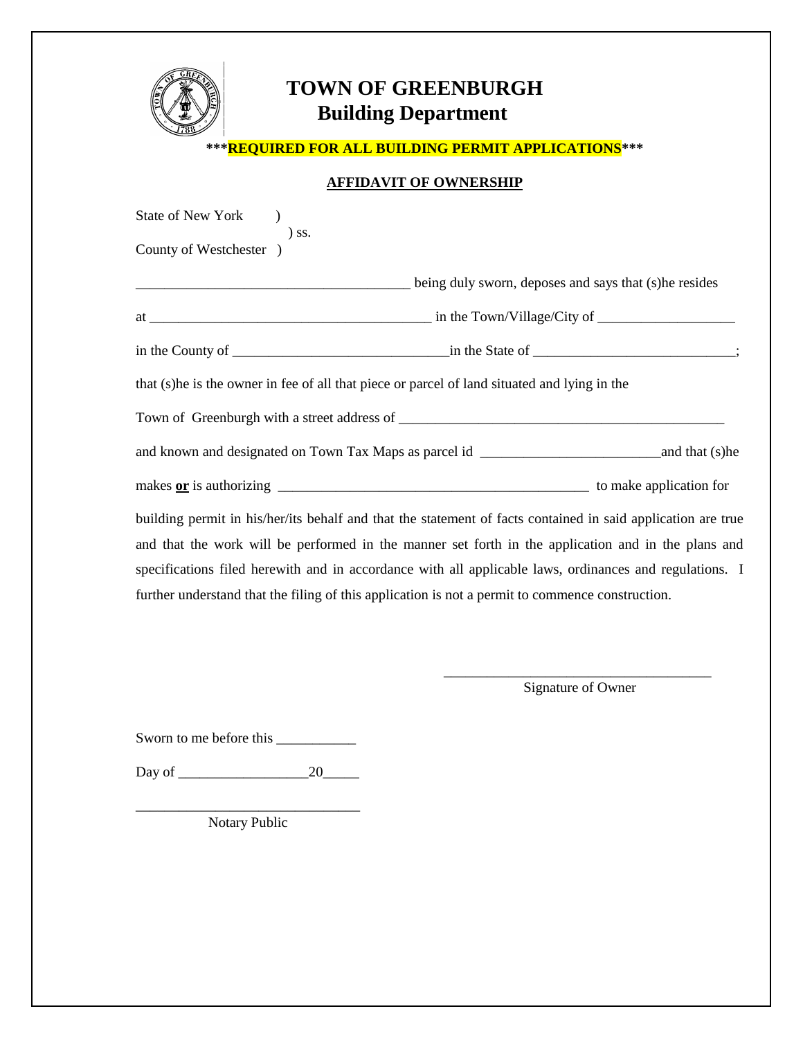

# **TOWN OF GREENBURGH Building Department**

**\*\*\*REQUIRED FOR ALL BUILDING PERMIT APPLICATIONS\*\*\***

# **AFFIDAVIT OF OWNERSHIP**

| State of New York (b)   |                                                                                                                                                                                                                                                                                                                                                                                                                    |  |
|-------------------------|--------------------------------------------------------------------------------------------------------------------------------------------------------------------------------------------------------------------------------------------------------------------------------------------------------------------------------------------------------------------------------------------------------------------|--|
| County of Westchester ) | $)$ ss.                                                                                                                                                                                                                                                                                                                                                                                                            |  |
|                         | being duly sworn, deposes and says that (s) he resides                                                                                                                                                                                                                                                                                                                                                             |  |
|                         |                                                                                                                                                                                                                                                                                                                                                                                                                    |  |
|                         | in the County of $\frac{1}{\sqrt{1-\frac{1}{\sqrt{1-\frac{1}{\sqrt{1-\frac{1}{\sqrt{1-\frac{1}{\sqrt{1-\frac{1}{\sqrt{1-\frac{1}{\sqrt{1-\frac{1}{\sqrt{1-\frac{1}{\sqrt{1-\frac{1}{\sqrt{1-\frac{1}{\sqrt{1-\frac{1}{\sqrt{1-\frac{1}{\sqrt{1-\frac{1}{\sqrt{1-\frac{1}{\sqrt{1-\frac{1}{\sqrt{1-\frac{1}{\sqrt{1-\frac{1}{\sqrt{1-\frac{1}{\sqrt{1-\frac{1}{\sqrt{1-\frac{1}{\sqrt{1-\frac{1}{\sqrt{1-\frac{1}{$ |  |
|                         | that (s) he is the owner in fee of all that piece or parcel of land situated and lying in the                                                                                                                                                                                                                                                                                                                      |  |
|                         |                                                                                                                                                                                                                                                                                                                                                                                                                    |  |
|                         |                                                                                                                                                                                                                                                                                                                                                                                                                    |  |
|                         |                                                                                                                                                                                                                                                                                                                                                                                                                    |  |
|                         | building permit in his/her/its behalf and that the statement of facts contained in said application are true                                                                                                                                                                                                                                                                                                       |  |
|                         | and that the work will be performed in the manner set forth in the application and in the plans and                                                                                                                                                                                                                                                                                                                |  |
|                         | specifications filed herewith and in accordance with all applicable laws, ordinances and regulations. I                                                                                                                                                                                                                                                                                                            |  |
|                         | further understand that the filing of this application is not a permit to commence construction.                                                                                                                                                                                                                                                                                                                   |  |

 $\overline{\phantom{a}}$  , and the contract of the contract of the contract of the contract of the contract of the contract of the contract of the contract of the contract of the contract of the contract of the contract of the contrac

Signature of Owner

Sworn to me before this \_\_\_\_\_\_\_\_\_\_\_

Day of \_\_\_\_\_\_\_\_\_\_\_\_\_\_\_\_\_\_20\_\_\_\_\_

\_\_\_\_\_\_\_\_\_\_\_\_\_\_\_\_\_\_\_\_\_\_\_\_\_\_\_\_\_\_\_ Notary Public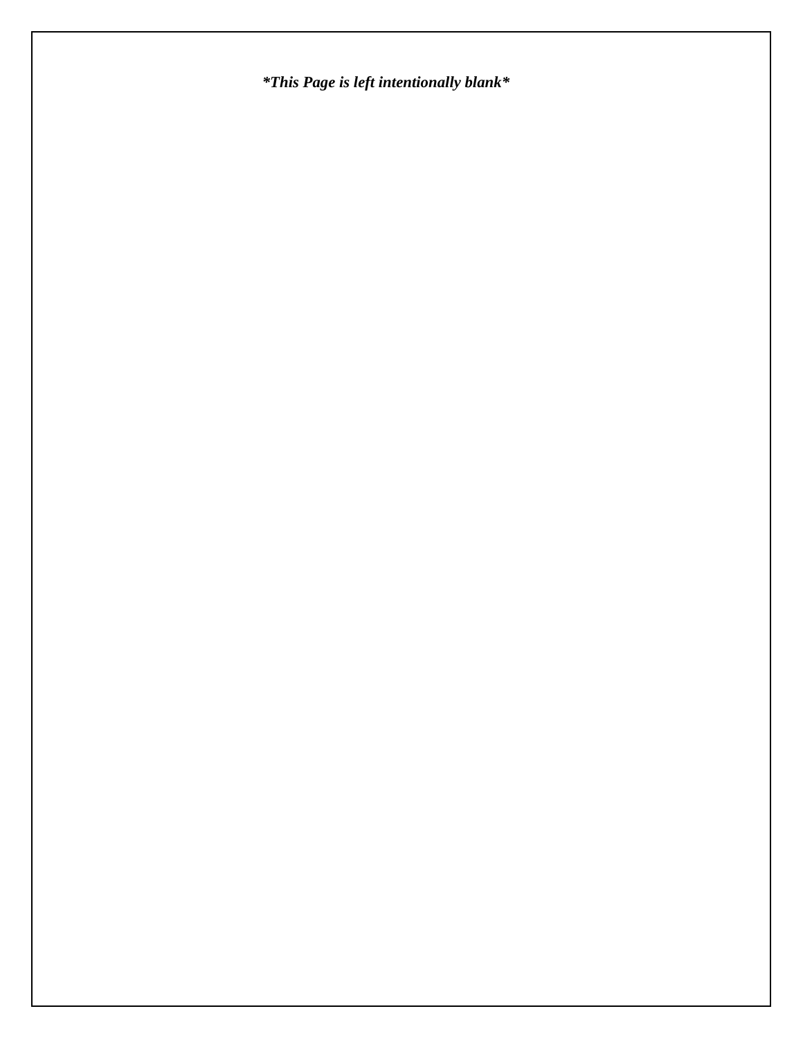*\*This Page is left intentionally blank\**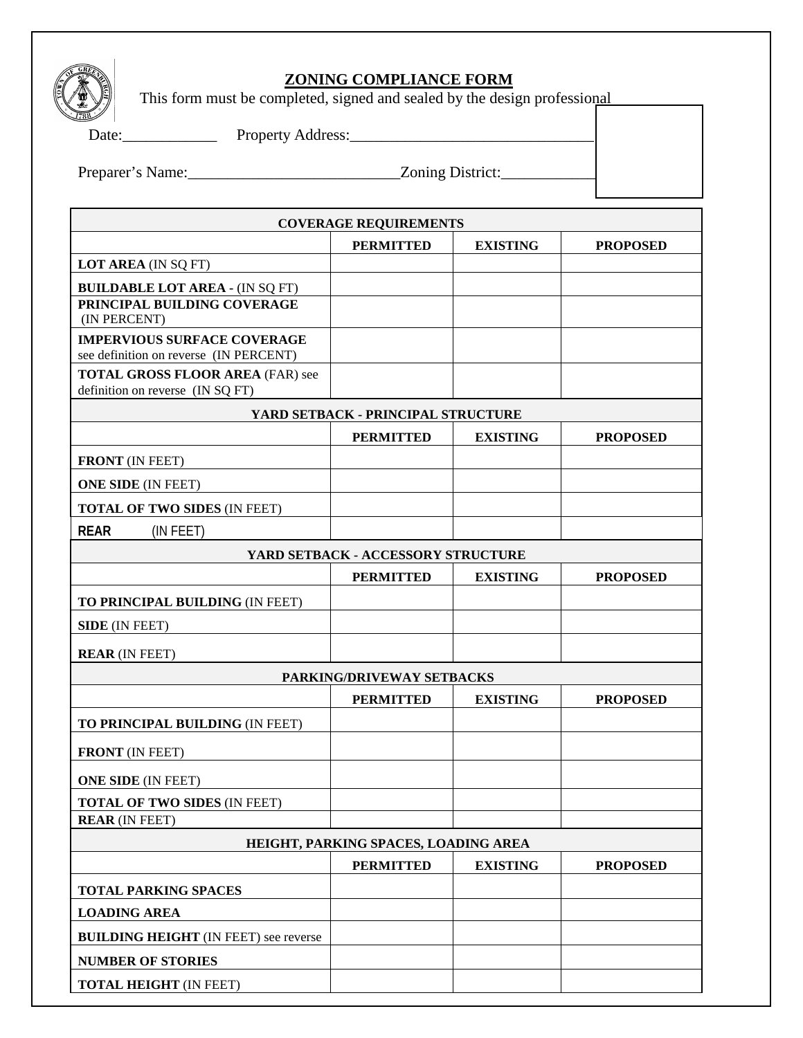

# **ZONING COMPLIANCE FORM**

This form must be completed, signed and sealed by the design professional

Date:\_\_\_\_\_\_\_\_\_\_\_\_ Property Address:\_\_\_\_\_\_\_\_\_\_\_\_\_\_\_\_\_\_\_\_\_\_\_\_\_\_\_\_\_\_\_

Preparer's Name:\_\_\_\_\_\_\_\_\_\_\_\_\_\_\_\_\_\_\_\_\_\_\_\_\_\_\_Zoning District:\_\_\_\_\_\_\_\_\_\_\_\_\_\_\_

| <b>COVERAGE REQUIREMENTS</b>                                                 |                  |                 |                 |  |  |  |
|------------------------------------------------------------------------------|------------------|-----------------|-----------------|--|--|--|
|                                                                              | <b>PERMITTED</b> | <b>EXISTING</b> | <b>PROPOSED</b> |  |  |  |
| <b>LOT AREA (IN SQ FT)</b>                                                   |                  |                 |                 |  |  |  |
| <b>BUILDABLE LOT AREA - (IN SQ FT)</b>                                       |                  |                 |                 |  |  |  |
| PRINCIPAL BUILDING COVERAGE<br>(IN PERCENT)                                  |                  |                 |                 |  |  |  |
| <b>IMPERVIOUS SURFACE COVERAGE</b><br>see definition on reverse (IN PERCENT) |                  |                 |                 |  |  |  |
| <b>TOTAL GROSS FLOOR AREA (FAR) see</b><br>definition on reverse (IN SQ FT)  |                  |                 |                 |  |  |  |
| YARD SETBACK - PRINCIPAL STRUCTURE                                           |                  |                 |                 |  |  |  |
|                                                                              | <b>PERMITTED</b> | <b>EXISTING</b> | <b>PROPOSED</b> |  |  |  |
| <b>FRONT</b> (IN FEET)                                                       |                  |                 |                 |  |  |  |
| <b>ONE SIDE (IN FEET)</b>                                                    |                  |                 |                 |  |  |  |
| <b>TOTAL OF TWO SIDES (IN FEET)</b>                                          |                  |                 |                 |  |  |  |
| <b>REAR</b><br>(IN FEET)                                                     |                  |                 |                 |  |  |  |
| YARD SETBACK - ACCESSORY STRUCTURE                                           |                  |                 |                 |  |  |  |
|                                                                              | <b>PERMITTED</b> | <b>EXISTING</b> | <b>PROPOSED</b> |  |  |  |
| TO PRINCIPAL BUILDING (IN FEET)                                              |                  |                 |                 |  |  |  |
| <b>SIDE</b> (IN FEET)                                                        |                  |                 |                 |  |  |  |
| <b>REAR (IN FEET)</b>                                                        |                  |                 |                 |  |  |  |
| PARKING/DRIVEWAY SETBACKS                                                    |                  |                 |                 |  |  |  |
|                                                                              | <b>PERMITTED</b> | <b>EXISTING</b> | <b>PROPOSED</b> |  |  |  |
| TO PRINCIPAL BUILDING (IN FEET)                                              |                  |                 |                 |  |  |  |
| <b>FRONT</b> (IN FEET)                                                       |                  |                 |                 |  |  |  |
| <b>ONE SIDE</b> (IN FEET)                                                    |                  |                 |                 |  |  |  |
| <b>TOTAL OF TWO SIDES (IN FEET)</b>                                          |                  |                 |                 |  |  |  |
| <b>REAR (IN FEET)</b>                                                        |                  |                 |                 |  |  |  |
| HEIGHT, PARKING SPACES, LOADING AREA                                         |                  |                 |                 |  |  |  |
|                                                                              | <b>PERMITTED</b> | <b>EXISTING</b> | <b>PROPOSED</b> |  |  |  |
| <b>TOTAL PARKING SPACES</b>                                                  |                  |                 |                 |  |  |  |
| <b>LOADING AREA</b>                                                          |                  |                 |                 |  |  |  |
| <b>BUILDING HEIGHT (IN FEET) see reverse</b>                                 |                  |                 |                 |  |  |  |
| <b>NUMBER OF STORIES</b>                                                     |                  |                 |                 |  |  |  |
| <b>TOTAL HEIGHT (IN FEET)</b>                                                |                  |                 |                 |  |  |  |